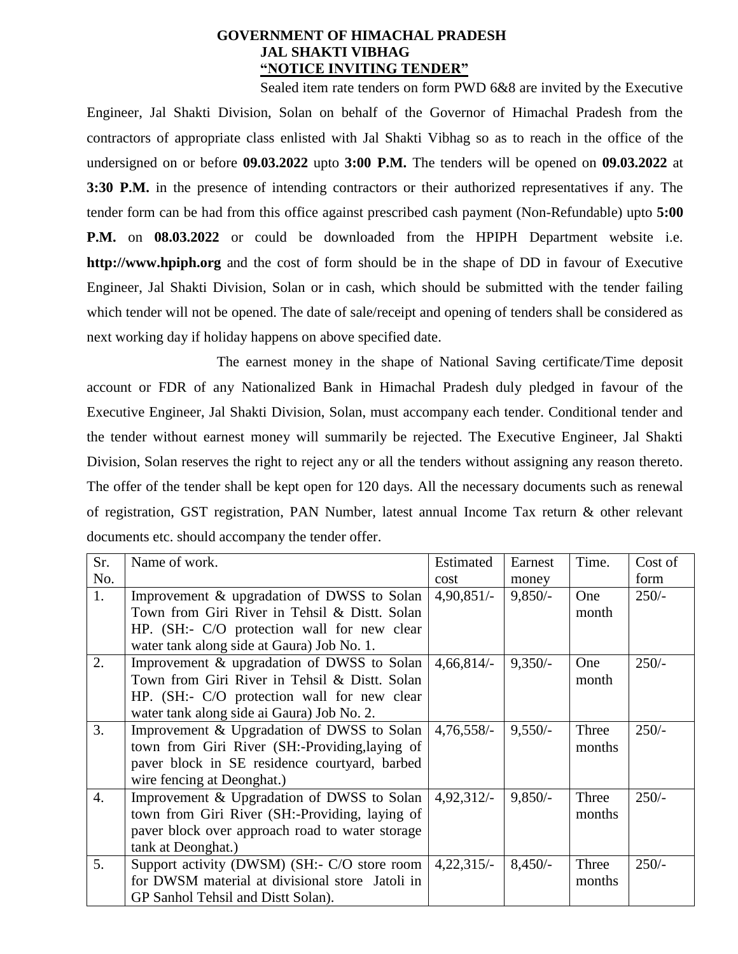# **GOVERNMENT OF HIMACHAL PRADESH JAL SHAKTI VIBHAG "NOTICE INVITING TENDER"**

Sealed item rate tenders on form PWD 6&8 are invited by the Executive Engineer, Jal Shakti Division, Solan on behalf of the Governor of Himachal Pradesh from the contractors of appropriate class enlisted with Jal Shakti Vibhag so as to reach in the office of the undersigned on or before **09.03.2022** upto **3:00 P.M.** The tenders will be opened on **09.03.2022** at **3:30 P.M.** in the presence of intending contractors or their authorized representatives if any. The tender form can be had from this office against prescribed cash payment (Non-Refundable) upto **5:00 P.M.** on **08.03.2022** or could be downloaded from the HPIPH Department website i.e. **http://www.hpiph.org** and the cost of form should be in the shape of DD in favour of Executive Engineer, Jal Shakti Division, Solan or in cash, which should be submitted with the tender failing which tender will not be opened. The date of sale/receipt and opening of tenders shall be considered as next working day if holiday happens on above specified date.

The earnest money in the shape of National Saving certificate/Time deposit account or FDR of any Nationalized Bank in Himachal Pradesh duly pledged in favour of the Executive Engineer, Jal Shakti Division, Solan, must accompany each tender. Conditional tender and the tender without earnest money will summarily be rejected. The Executive Engineer, Jal Shakti Division, Solan reserves the right to reject any or all the tenders without assigning any reason thereto. The offer of the tender shall be kept open for 120 days. All the necessary documents such as renewal of registration, GST registration, PAN Number, latest annual Income Tax return & other relevant documents etc. should accompany the tender offer.

| Sr. | Name of work.                                   | Estimated    | Earnest   | Time.  | Cost of |
|-----|-------------------------------------------------|--------------|-----------|--------|---------|
| No. |                                                 | cost         | money     |        | form    |
| 1.  | Improvement & upgradation of DWSS to Solan      | $4,90,851/-$ | $9,850/-$ | One    | $250/-$ |
|     | Town from Giri River in Tehsil & Distt. Solan   |              |           | month  |         |
|     | HP. (SH:- C/O protection wall for new clear     |              |           |        |         |
|     | water tank along side at Gaura) Job No. 1.      |              |           |        |         |
| 2.  | Improvement & upgradation of DWSS to Solan      | $4,66,814/-$ | $9,350/-$ | One    | $250/-$ |
|     | Town from Giri River in Tehsil & Distt. Solan   |              |           | month  |         |
|     | HP. (SH:- C/O protection wall for new clear     |              |           |        |         |
|     | water tank along side ai Gaura) Job No. 2.      |              |           |        |         |
| 3.  | Improvement & Upgradation of DWSS to Solan      | $4,76,558/-$ | $9,550/-$ | Three  | $250/-$ |
|     | town from Giri River (SH:-Providing, laying of  |              |           | months |         |
|     | paver block in SE residence courtyard, barbed   |              |           |        |         |
|     | wire fencing at Deonghat.)                      |              |           |        |         |
| 4.  | Improvement & Upgradation of DWSS to Solan      | 4,92,312/    | $9,850/-$ | Three  | $250/-$ |
|     | town from Giri River (SH:-Providing, laying of  |              |           | months |         |
|     | paver block over approach road to water storage |              |           |        |         |
|     | tank at Deonghat.)                              |              |           |        |         |
| 5.  | Support activity (DWSM) (SH:- C/O store room    | $4,22,315/-$ | $8,450/-$ | Three  | $250/-$ |
|     | for DWSM material at divisional store Jatoli in |              |           | months |         |
|     | GP Sanhol Tehsil and Distt Solan).              |              |           |        |         |